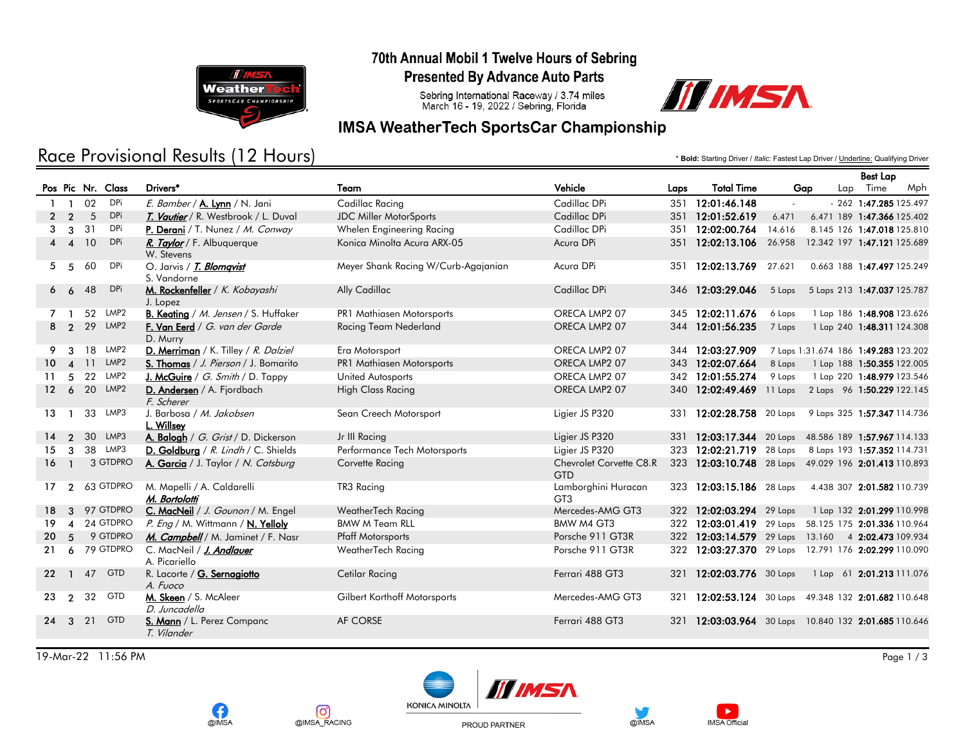

### 70th Annual Mobil 1 Twelve Hours of Sebring

**Presented By Advance Auto Parts** 

Sebring International Raceway / 3.74 miles<br>March 16 - 19, 2022 / Sebring, Florida



## **IMSA WeatherTech SportsCar Championship**

# Race Provisional Results (12 Hours)

\* **Bold:** Starting Driver / *Italic:* Fastest Lap Driver / Underline: Qualifying Driver

Best Lap

|                 |                        |    |                   |                                             |                                     |                                        |      |                                                      |        |                                      | <b>Dest Lap</b>            |     |
|-----------------|------------------------|----|-------------------|---------------------------------------------|-------------------------------------|----------------------------------------|------|------------------------------------------------------|--------|--------------------------------------|----------------------------|-----|
|                 |                        |    | Pos Pic Nr. Class | Drivers*                                    | Team                                | Vehicle                                | Laps | <b>Total Time</b>                                    | Gap    |                                      | Lap Time                   | Mph |
|                 | -1                     | 02 | DPi               | E. Bamber / A. Lynn / N. Jani               | Cadillac Racing                     | Cadillac DPi                           | 351  | 12:01:46.148                                         |        |                                      | $-262$ 1:47.285 125.497    |     |
| $\mathbf{2}$    | $\overline{2}$         | 5  | DPi               | T. Vautier / R. Westbrook / L. Duval        | JDC Miller MotorSports              | Cadillac DPi                           |      | 351 12:01:52.619                                     | 6.471  | 6.471 189 1:47.366 125.402           |                            |     |
| 3               | 3                      | 31 | DPi               | P. Derani / T. Nunez / M. Conway            | Whelen Engineering Racing           | Cadillac DPi                           | 351  | 12:02:00.764                                         | 14.616 | 8.145 126 1:47.018 125.810           |                            |     |
|                 | $4\quad 4$             | 10 | <b>DPi</b>        | R. Taylor / F. Albuquerque<br>W. Stevens    | Konica Minolta Acura ARX-05         | Acura DPi                              | 351  | 12:02:13.106                                         | 26.958 | 12.342 197 1:47.121 125.689          |                            |     |
| 5               | 5                      | 60 | DPi               | O. Jarvis / T. Blomqvist<br>S. Vandorne     | Meyer Shank Racing W/Curb-Agajanian | Acura DPi                              | 351  | 12:02:13.769                                         | 27.621 | 0.663 188 1:47.497 125.249           |                            |     |
| 6               | 6                      | 48 | DPi               | M. Rockenfeller / K. Kobayashi<br>J. Lopez  | Ally Cadillac                       | Cadillac DPi                           |      | 346 12:03:29.046                                     | 5 Laps | 5 Laps 213 1:47.037 125.787          |                            |     |
| 7               |                        |    | 52 LMP2           | B. Keating / M. Jensen / S. Huffaker        | PR1 Mathiasen Motorsports           | ORECA LMP2 07                          |      | 345 12:02:11.676                                     | 6 Laps |                                      | 1 Lap 186 1:48.908 123.626 |     |
|                 | 8 <sub>2</sub>         |    | 29 LMP2           | F. Van Eerd / G. van der Garde<br>D. Murry  | Racing Team Nederland               | ORECA LMP2 07                          |      | 344 12:01:56.235                                     | 7 Laps |                                      | 1 Lap 240 1:48.311 124.308 |     |
| 9.              | $\mathbf{R}$           |    | 18 LMP2           | D. Merriman / K. Tilley / R. Dalziel        | Era Motorsport                      | ORECA LMP2 07                          |      | 344 12:03:27.909                                     |        | 7 Laps 1:31.674 186 1:49.283 123.202 |                            |     |
| 10 <sup>1</sup> | $\boldsymbol{\Lambda}$ | 11 | LMP2              | S. Thomas / J. Pierson / J. Bomarito        | <b>PR1 Mathiasen Motorsports</b>    | ORECA LMP2 07                          |      | 343 12:02:07.664                                     | 8 Laps | 1 Lap 188 1:50.355 122.005           |                            |     |
| 11              | 5                      |    | 22 LMP2           | J. McGuire / G. Smith / D. Tappy            | United Autosports                   | ORECA LMP2 07                          |      | 342 12:01:55.274                                     | 9 Laps | 1 Lap 220 1:48.979 123.546           |                            |     |
|                 | $12\quad 6$            |    | 20 LMP2           | D. Andersen / A. Fjordbach<br>F. Scherer    | <b>High Class Racing</b>            | ORECA LMP2 07                          |      | 340 12:02:49.469                                     |        | 11 Laps 2 Laps 96 1:50.229 122.145   |                            |     |
| 13              | $\mathbf{1}$           |    | 33 LMP3           | J. Barbosa / M. Jakobsen<br>L. Willsey      | Sean Creech Motorsport              | Ligier JS P320                         | 331  | $12:02:28.758$ 20 Laps                               |        | 9 Laps 325 1:57.347 114.736          |                            |     |
|                 | 14 <sub>2</sub>        |    | 30 LMP3           | A. Balogh / G. Grist / D. Dickerson         | Jr III Racing                       | Ligier JS P320                         | 331  | 12:03:17.344 20 Laps 48.586 189 1:57.967 114.133     |        |                                      |                            |     |
| 15              | 3                      |    | 38 LMP3           | D. Goldburg / $R$ . Lindh / C. Shields      | Performance Tech Motorsports        | Ligier JS P320                         |      | $12:02:21.719$ 28 Laps                               |        | 8 Laps 193 1:57.352 114.731          |                            |     |
| 16              | $\mathbf{1}$           |    | 3 GTDPRO          | A. Garcia / J. Taylor / N. Catsburg         | Corvette Racing                     | Chevrolet Corvette C8.R<br><b>GTD</b>  |      | 323 12:03:10.748 28 Laps 49.029 196 2:01.413 110.893 |        |                                      |                            |     |
| 17              | $\overline{2}$         |    | 63 GTDPRO         | M. Mapelli / A. Caldarelli<br>M. Bortolotti | TR3 Racing                          | Lamborghini Huracan<br>GT <sub>3</sub> |      | 323 12:03:15.186 28 Laps                             |        | 4.438 307 2:01.582 110.739           |                            |     |
|                 |                        |    | 18 3 97 GTDPRO    | C. MacNeil / J. Gounon / M. Engel           | WeatherTech Racing                  | Mercedes-AMG GT3                       |      | 322 12:02:03.294 29 Laps                             |        | 1 Lap 132 2:01.299 110.998           |                            |     |
| 19              |                        |    | 4 24 GTDPRO       | P. Eng / M. Wittmann / N. Yelloly           | <b>BMW M Team RLL</b>               | BMW M4 GT3                             |      | 322 12:03:01.419 29 Laps 58.125 175 2:01.336 110.964 |        |                                      |                            |     |
| 20              | 5                      |    | 9 GTDPRO          | M. Campbell / M. Jaminet / F. Nasr          | <b>Pfaff Motorsports</b>            | Porsche 911 GT3R                       |      | 322 12:03:14.579 29 Laps 13.160 4 2:02.473 109.934   |        |                                      |                            |     |
| 21              | 6                      |    | 79 GTDPRO         | C. MacNeil / J. Andlauer<br>A. Picariello   | WeatherTech Racing                  | Porsche 911 GT3R                       |      | 322 12:03:27.370 29 Laps 12.791 176 2:02.299 110.090 |        |                                      |                            |     |
| 22 <sub>2</sub> |                        | 47 | <b>GTD</b>        | R. Lacorte / G. Sernagiotto<br>A. Fuoco     | <b>Cetilar Racing</b>               | Ferrari 488 GT3                        | 321  | 12:02:03.776 30 Laps                                 |        | 1 Lap 61 2:01.213 111.076            |                            |     |
| 23              | $\overline{2}$         | 32 | <b>GTD</b>        | M. Skeen / S. McAleer<br>D. Juncadella      | Gilbert Korthoff Motorsports        | Mercedes-AMG GT3                       | 321  | 12:02:53.124 30 Laps 49.348 132 2:01.682 110.648     |        |                                      |                            |     |
|                 | $24 \quad 3$           | 21 | <b>GTD</b>        | S. Mann / L. Perez Companc<br>T. Vilander   | <b>AF CORSE</b>                     | Ferrari 488 GT3                        | 321  | 12:03:03.964 30 Laps 10.840 132 2:01.685 110.646     |        |                                      |                            |     |
|                 |                        |    |                   |                                             |                                     |                                        |      |                                                      |        |                                      |                            |     |

19-Mar-22 11:56 PM Page 1 / 3



**o** 

@IMSA\_RACING





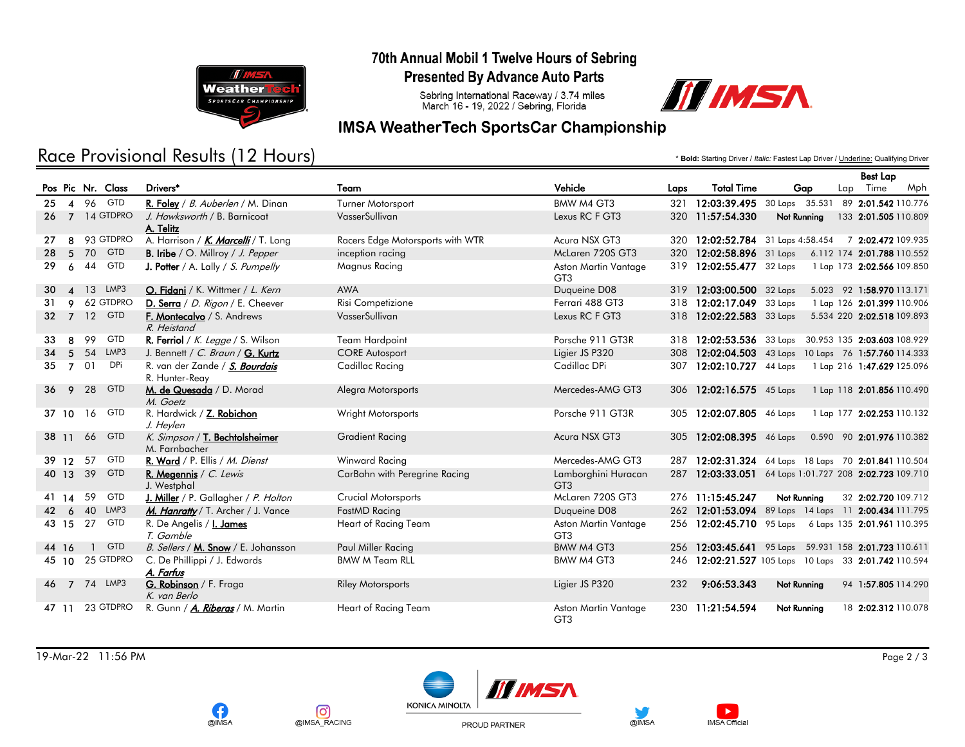

### 70th Annual Mobil 1 Twelve Hours of Sebring

**Presented By Advance Auto Parts** 

Sebring International Raceway / 3.74 miles<br>March 16 - 19, 2022 / Sebring, Florida

## **IMSA WeatherTech SportsCar Championship**

# Race Provisional Results (12 Hours)

\* **Bold:** Starting Driver / *Italic:* Fastest Lap Driver / Underline: Qualifying Driver

III IMSA

|    |                 |              |                   |                                                  |                                  |                                         |      |                          |             | <b>Best Lap</b>                                        |
|----|-----------------|--------------|-------------------|--------------------------------------------------|----------------------------------|-----------------------------------------|------|--------------------------|-------------|--------------------------------------------------------|
|    |                 |              | Pos Pic Nr. Class | Drivers <sup>*</sup>                             | Team                             | Vehicle                                 | Laps | <b>Total Time</b>        | Gap         | Lap Time<br>Mph                                        |
| 25 |                 |              | 4 96 GTD          | R. Foley / B. Auberlen / M. Dinan                | Turner Motorsport                | BMW M4 GT3                              |      |                          |             | 321 12:03:39.495 30 Laps 35.531 89 2:01.542 110.776    |
|    |                 |              | 26 7 14 GTDPRO    | J. Hawksworth / B. Barnicoat<br>A. Telitz        | VasserSullivan                   | Lexus RC F GT3                          |      | 320 11:57:54.330         | Not Running | 133 2:01.505 110.809                                   |
| 27 |                 |              | 8 93 GTDPRO       | A. Harrison / <i>K. Marcelli</i> / T. Long       | Racers Edge Motorsports with WTR | Acura NSX GT3                           |      |                          |             | 320 12:02:52.784 31 Laps 4:58.454 7 2:02.472 109.935   |
| 28 |                 |              | 5 70 GTD          | <b>B.</b> Iribe / O. Millroy / J. Pepper         | inception racing                 | McLaren 720S GT3                        |      | 320 12:02:58.896 31 Laps |             | 6.112 174 2:01.788 110.552                             |
| 29 | 6               | 44           | <b>GTD</b>        | <b>J. Potter</b> / A. Lally / S. Pumpelly        | Magnus Racing                    | Aston Martin Vantage<br>GT3             |      | 319 12:02:55.477 32 Laps |             | 1 Lap 173 2:02.566 109.850                             |
| 30 |                 |              | 4 13 LMP3         | O. Fidani / K. Wittmer / L. Kern                 | <b>AWA</b>                       | Duqueine D08                            |      | 319 12:03:00.500 32 Laps |             | 5.023 92 1:58.970 113.171                              |
| 31 | 9               |              | 62 GTDPRO         | D. Serra / D. Rigon / E. Cheever                 | Risi Competizione                | Ferrari 488 GT3                         |      | 318 12:02:17.049         | 33 Laps     | 1 Lap 126 2:01.399 110.906                             |
|    |                 |              | 32 7 12 GTD       | F. Montecalvo / S. Andrews<br>R. Heistand        | VasserSullivan                   | Lexus RC F GT3                          |      | 318 12:02:22.583 33 Laps |             | 5.534 220 2:02.518 109.893                             |
| 33 | 8               | 99           | <b>GTD</b>        | R. Ferriol / K. Legge / S. Wilson                | <b>Team Hardpoint</b>            | Porsche 911 GT3R                        |      |                          |             | 318 12:02:53.536 33 Laps 30.953 135 2:03.603 108.929   |
| 34 | $5\overline{)}$ | 54           | LMP3              | J. Bennett / C. Braun / G. Kurtz                 | <b>CORE Autosport</b>            | Ligier JS P320                          |      |                          |             | 308 12:02:04.503 43 Laps 10 Laps 76 1:57.760 114.333   |
| 35 | $\overline{7}$  | 01           | <b>DPi</b>        | R. van der Zande / S. Bourdais<br>R. Hunter-Reay | Cadillac Racing                  | Cadillac DPi                            |      | 307 12:02:10.727 44 Laps |             | 1 Lap 216 1:47.629 125.096                             |
| 36 | 9               | 28           | <b>GTD</b>        | M. de Quesada / D. Morad<br>M. Goetz             | Alegra Motorsports               | Mercedes-AMG GT3                        |      | 306 12:02:16.575 45 Laps |             | 1 Lap 118 2:01.856 110.490                             |
|    | 37 10           | 16           | <b>GTD</b>        | R. Hardwick / Z. Robichon<br>J. Heylen           | Wright Motorsports               | Porsche 911 GT3R                        |      | 305 12:02:07.805 46 Laps |             | 1 Lap 177 2:02.253 110.132                             |
|    | 3811            | 66           | <b>GTD</b>        | K. Simpson / T. Bechtolsheimer<br>M. Farnbacher  | <b>Gradient Racing</b>           | Acura NSX GT3                           | 305  | 12:02:08.395 46 Laps     |             | 0.590 90 2:01.976 110.382                              |
|    | 39 12 57        |              | <b>GTD</b>        | R. Ward / P. Ellis / M. Dienst                   | Winward Racing                   | Mercedes-AMG GT3                        |      |                          |             | 287 12:02:31.324 64 Laps 18 Laps 70 2:01.841 110.504   |
|    | 40 13 39        |              | <b>GTD</b>        | R. Megennis / $C.$ Lewis<br>J. Westphal          | CarBahn with Peregrine Racing    | Lamborghini Huracan<br>GT <sub>3</sub>  |      |                          |             | 287 12:03:33.051 64 Laps 1:01.727 208 2:02.723 109.710 |
|    | 41 14           | 59           | <b>GTD</b>        | J. Miller / P. Gallagher / P. Holton             | Crucial Motorsports              | McLaren 720S GT3                        |      | 276 11:15:45.247         | Not Running | 32 2:02.720 109.712                                    |
| 42 | 6               | 40           | LMP3              | M. Hanratty / T. Archer / J. Vance               | FastMD Racing                    | Duqueine D08                            |      |                          |             | 262 12:01:53.094 89 Laps 14 Laps 11 2:00.434 111.795   |
|    | 43 15           | 27           | <b>GTD</b>        | R. De Angelis / <i>I. James</i><br>T. Gamble     | Heart of Racing Team             | Aston Martin Vantage<br>GT <sub>3</sub> |      |                          |             | 256 12:02:45.710 95 Laps 6 Laps 135 2:01.961 110.395   |
|    | 44 16           | $\mathbf{1}$ | <b>GTD</b>        | B. Sellers / M. Snow / E. Johansson              | Paul Miller Racing               | <b>BMW M4 GT3</b>                       |      |                          |             | 256 12:03:45.641 95 Laps 59.931 158 2:01.723 110.611   |
|    |                 |              | 45 10 25 GTDPRO   | C. De Phillippi / J. Edwards<br>A. Farfus        | <b>BMW M Team RLL</b>            | BMW M4 GT3                              |      |                          |             | 246 12:02:21.527 105 Laps 10 Laps 33 2:01.742 110.594  |
| 46 |                 |              | 7 74 LMP3         | G. Robinson / F. Fraga<br>K. van Berlo           | <b>Riley Motorsports</b>         | Ligier JS P320                          | 232  | 9:06:53.343              | Not Running | 94 1:57.805 114.290                                    |
|    | 47 11           |              | 23 GTDPRO         | R. Gunn / A. Riberas / M. Martin                 | Heart of Racing Team             | Aston Martin Vantage<br>GT <sub>3</sub> |      | 230 11:21:54.594         | Not Running | 18 2:02.312 110.078                                    |

19-Mar-22 11:56 PM Page 2 / 3







PROUD PARTNER